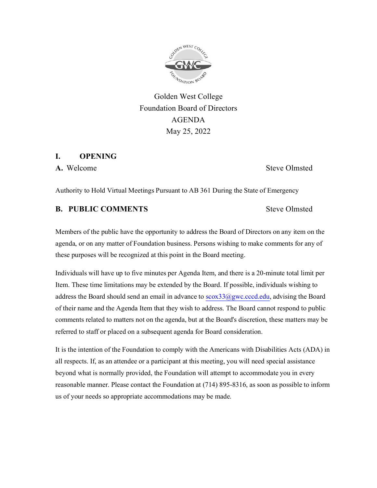

Golden West College Foundation Board of Directors AGENDA May 25, 2022

#### **I. OPENING**

A. Welcome Steve Olmsted

Authority to Hold Virtual Meetings Pursuant to AB 361 During the State of Emergency

## **B.** PUBLIC COMMENTS Steve Olmsted

Members of the public have the opportunity to address the Board of Directors on any item on the agenda, or on any matter of Foundation business. Persons wishing to make comments for any of these purposes will be recognized at this point in the Board meeting.

Individuals will have up to five minutes per Agenda Item, and there is a 20-minute total limit per Item. These time limitations may be extended by the Board. If possible, individuals wishing to address the Board should send an email in advance to  $scox33$ @gwc.cccd.edu, advising the Board of their name and the Agenda Item that they wish to address. The Board cannot respond to public comments related to matters not on the agenda, but at the Board's discretion, these matters may be referred to staff or placed on a subsequent agenda for Board consideration.

It is the intention of the Foundation to comply with the Americans with Disabilities Acts (ADA) in all respects. If, as an attendee or a participant at this meeting, you will need special assistance beyond what is normally provided, the Foundation will attempt to accommodate you in every reasonable manner. Please contact the Foundation at (714) 895-8316, as soon as possible to inform us of your needs so appropriate accommodations may be made.